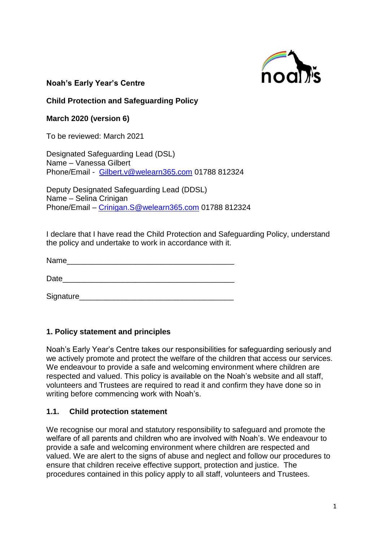

### **Noah's Early Year's Centre**

#### **Child Protection and Safeguarding Policy**

### **March 2020 (version 6)**

To be reviewed: March 2021

Designated Safeguarding Lead (DSL) Name – Vanessa Gilbert Phone/Email - [Gilbert.v@welearn365.com](mailto:Gilbert.v@welearn365.com) 01788 812324

Deputy Designated Safeguarding Lead (DDSL) Name – Selina Crinigan Phone/Email – [Crinigan.S@welearn365.com](mailto:Crinigan.S@welearn365.com) 01788 812324

I declare that I have read the Child Protection and Safeguarding Policy, understand the policy and undertake to work in accordance with it.

Name\_\_\_\_\_\_\_\_\_\_\_\_\_\_\_\_\_\_\_\_\_\_\_\_\_\_\_\_\_\_\_\_\_\_\_\_\_\_\_

 $Date$ 

Signature

## **1. Policy statement and principles**

Noah's Early Year's Centre takes our responsibilities for safeguarding seriously and we actively promote and protect the welfare of the children that access our services. We endeavour to provide a safe and welcoming environment where children are respected and valued. This policy is available on the Noah's website and all staff, volunteers and Trustees are required to read it and confirm they have done so in writing before commencing work with Noah's.

#### **1.1. Child protection statement**

We recognise our moral and statutory responsibility to safeguard and promote the welfare of all parents and children who are involved with Noah's. We endeavour to provide a safe and welcoming environment where children are respected and valued. We are alert to the signs of abuse and neglect and follow our procedures to ensure that children receive effective support, protection and justice. The procedures contained in this policy apply to all staff, volunteers and Trustees.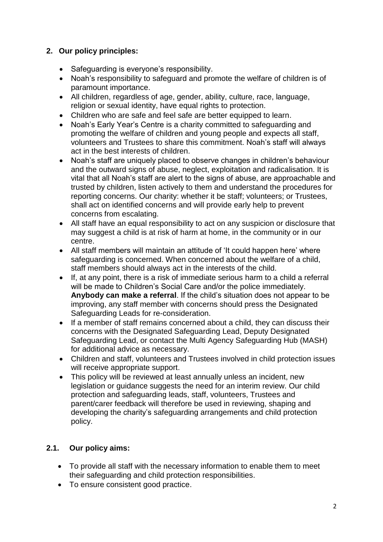# **2. Our policy principles:**

- Safeguarding is everyone's responsibility.
- Noah's responsibility to safeguard and promote the welfare of children is of paramount importance.
- All children, regardless of age, gender, ability, culture, race, language, religion or sexual identity, have equal rights to protection.
- Children who are safe and feel safe are better equipped to learn.
- Noah's Early Year's Centre is a charity committed to safeguarding and promoting the welfare of children and young people and expects all staff, volunteers and Trustees to share this commitment. Noah's staff will always act in the best interests of children.
- Noah's staff are uniquely placed to observe changes in children's behaviour and the outward signs of abuse, neglect, exploitation and radicalisation. It is vital that all Noah's staff are alert to the signs of abuse, are approachable and trusted by children, listen actively to them and understand the procedures for reporting concerns. Our charity: whether it be staff; volunteers; or Trustees, shall act on identified concerns and will provide early help to prevent concerns from escalating.
- All staff have an equal responsibility to act on any suspicion or disclosure that may suggest a child is at risk of harm at home, in the community or in our centre.
- All staff members will maintain an attitude of 'It could happen here' where safeguarding is concerned. When concerned about the welfare of a child, staff members should always act in the interests of the child.
- If, at any point, there is a risk of immediate serious harm to a child a referral will be made to Children's Social Care and/or the police immediately. **Anybody can make a referral**. If the child's situation does not appear to be improving, any staff member with concerns should press the Designated Safeguarding Leads for re-consideration.
- If a member of staff remains concerned about a child, they can discuss their concerns with the Designated Safeguarding Lead, Deputy Designated Safeguarding Lead, or contact the Multi Agency Safeguarding Hub (MASH) for additional advice as necessary.
- Children and staff, volunteers and Trustees involved in child protection issues will receive appropriate support.
- This policy will be reviewed at least annually unless an incident, new legislation or guidance suggests the need for an interim review. Our child protection and safeguarding leads, staff, volunteers, Trustees and parent/carer feedback will therefore be used in reviewing, shaping and developing the charity's safeguarding arrangements and child protection policy.

# **2.1. Our policy aims:**

- To provide all staff with the necessary information to enable them to meet their safeguarding and child protection responsibilities.
- To ensure consistent good practice.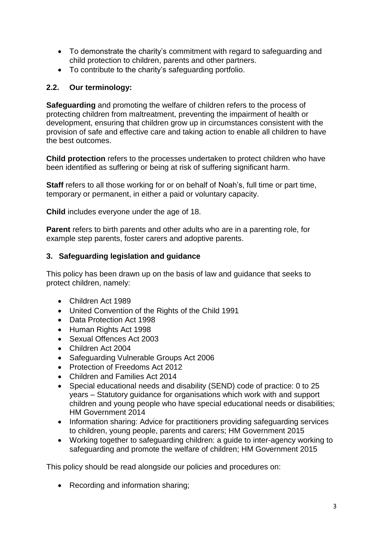- To demonstrate the charity's commitment with regard to safeguarding and child protection to children, parents and other partners.
- To contribute to the charity's safeguarding portfolio.

# **2.2. Our terminology:**

**Safeguarding** and promoting the welfare of children refers to the process of protecting children from maltreatment, preventing the impairment of health or development, ensuring that children grow up in circumstances consistent with the provision of safe and effective care and taking action to enable all children to have the best outcomes.

**Child protection** refers to the processes undertaken to protect children who have been identified as suffering or being at risk of suffering significant harm.

**Staff** refers to all those working for or on behalf of Noah's, full time or part time, temporary or permanent, in either a paid or voluntary capacity.

**Child** includes everyone under the age of 18.

**Parent** refers to birth parents and other adults who are in a parenting role, for example step parents, foster carers and adoptive parents.

# **3. Safeguarding legislation and guidance**

This policy has been drawn up on the basis of law and guidance that seeks to protect children, namely:

- Children Act 1989
- United Convention of the Rights of the Child 1991
- Data Protection Act 1998
- Human Rights Act 1998
- Sexual Offences Act 2003
- Children Act 2004
- Safeguarding Vulnerable Groups Act 2006
- Protection of Freedoms Act 2012
- Children and Families Act 2014
- Special educational needs and disability (SEND) code of practice: 0 to 25 years – Statutory guidance for organisations which work with and support children and young people who have special educational needs or disabilities; HM Government 2014
- Information sharing: Advice for practitioners providing safeguarding services to children, young people, parents and carers; HM Government 2015
- Working together to safeguarding children: a guide to inter-agency working to safeguarding and promote the welfare of children; HM Government 2015

This policy should be read alongside our policies and procedures on:

• Recording and information sharing;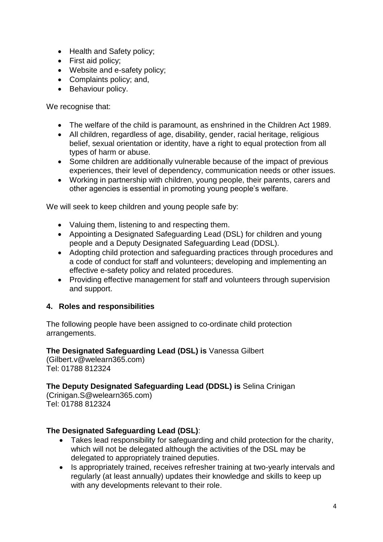- Health and Safety policy;
- First aid policy;
- Website and e-safety policy;
- Complaints policy; and,
- Behaviour policy.

We recognise that:

- The welfare of the child is paramount, as enshrined in the Children Act 1989.
- All children, regardless of age, disability, gender, racial heritage, religious belief, sexual orientation or identity, have a right to equal protection from all types of harm or abuse.
- Some children are additionally vulnerable because of the impact of previous experiences, their level of dependency, communication needs or other issues.
- Working in partnership with children, young people, their parents, carers and other agencies is essential in promoting young people's welfare.

We will seek to keep children and young people safe by:

- Valuing them, listening to and respecting them.
- Appointing a Designated Safeguarding Lead (DSL) for children and young people and a Deputy Designated Safeguarding Lead (DDSL).
- Adopting child protection and safeguarding practices through procedures and a code of conduct for staff and volunteers; developing and implementing an effective e-safety policy and related procedures.
- Providing effective management for staff and volunteers through supervision and support.

## **4. Roles and responsibilities**

The following people have been assigned to co-ordinate child protection arrangements.

## **The Designated Safeguarding Lead (DSL) is** Vanessa Gilbert

(Gilbert.v@welearn365.com) Tel: 01788 812324

## **The Deputy Designated Safeguarding Lead (DDSL) is** Selina Crinigan

(Crinigan.S@welearn365.com) Tel: 01788 812324

# **The Designated Safeguarding Lead (DSL)**:

- Takes lead responsibility for safeguarding and child protection for the charity, which will not be delegated although the activities of the DSL may be delegated to appropriately trained deputies.
- Is appropriately trained, receives refresher training at two-yearly intervals and regularly (at least annually) updates their knowledge and skills to keep up with any developments relevant to their role.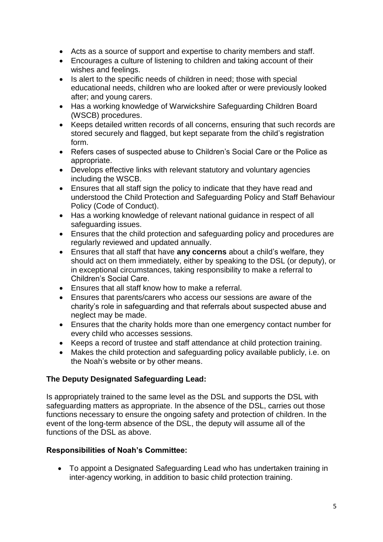- Acts as a source of support and expertise to charity members and staff.
- Encourages a culture of listening to children and taking account of their wishes and feelings.
- Is alert to the specific needs of children in need: those with special educational needs, children who are looked after or were previously looked after; and young carers.
- Has a working knowledge of Warwickshire Safeguarding Children Board (WSCB) procedures.
- Keeps detailed written records of all concerns, ensuring that such records are stored securely and flagged, but kept separate from the child's registration form.
- Refers cases of suspected abuse to Children's Social Care or the Police as appropriate.
- Develops effective links with relevant statutory and voluntary agencies including the WSCB.
- Ensures that all staff sign the policy to indicate that they have read and understood the Child Protection and Safeguarding Policy and Staff Behaviour Policy (Code of Conduct).
- Has a working knowledge of relevant national guidance in respect of all safeguarding issues.
- Ensures that the child protection and safeguarding policy and procedures are regularly reviewed and updated annually.
- Ensures that all staff that have **any concerns** about a child's welfare, they should act on them immediately, either by speaking to the DSL (or deputy), or in exceptional circumstances, taking responsibility to make a referral to Children's Social Care.
- Ensures that all staff know how to make a referral.
- Ensures that parents/carers who access our sessions are aware of the charity's role in safeguarding and that referrals about suspected abuse and neglect may be made.
- Ensures that the charity holds more than one emergency contact number for every child who accesses sessions.
- Keeps a record of trustee and staff attendance at child protection training.
- Makes the child protection and safeguarding policy available publicly, i.e. on the Noah's website or by other means.

# **The Deputy Designated Safeguarding Lead:**

Is appropriately trained to the same level as the DSL and supports the DSL with safeguarding matters as appropriate. In the absence of the DSL, carries out those functions necessary to ensure the ongoing safety and protection of children. In the event of the long-term absence of the DSL, the deputy will assume all of the functions of the DSL as above.

# **Responsibilities of Noah's Committee:**

 To appoint a Designated Safeguarding Lead who has undertaken training in inter-agency working, in addition to basic child protection training.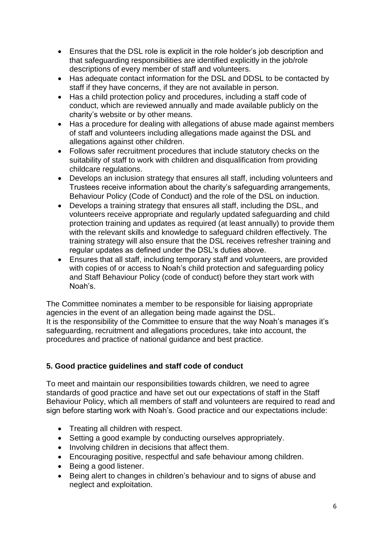- Ensures that the DSL role is explicit in the role holder's job description and that safeguarding responsibilities are identified explicitly in the job/role descriptions of every member of staff and volunteers.
- Has adequate contact information for the DSL and DDSL to be contacted by staff if they have concerns, if they are not available in person.
- Has a child protection policy and procedures, including a staff code of conduct, which are reviewed annually and made available publicly on the charity's website or by other means.
- Has a procedure for dealing with allegations of abuse made against members of staff and volunteers including allegations made against the DSL and allegations against other children.
- Follows safer recruitment procedures that include statutory checks on the suitability of staff to work with children and disqualification from providing childcare regulations.
- Develops an inclusion strategy that ensures all staff, including volunteers and Trustees receive information about the charity's safeguarding arrangements, Behaviour Policy (Code of Conduct) and the role of the DSL on induction.
- Develops a training strategy that ensures all staff, including the DSL, and volunteers receive appropriate and regularly updated safeguarding and child protection training and updates as required (at least annually) to provide them with the relevant skills and knowledge to safeguard children effectively. The training strategy will also ensure that the DSL receives refresher training and regular updates as defined under the DSL's duties above.
- Ensures that all staff, including temporary staff and volunteers, are provided with copies of or access to Noah's child protection and safeguarding policy and Staff Behaviour Policy (code of conduct) before they start work with Noah's.

The Committee nominates a member to be responsible for liaising appropriate agencies in the event of an allegation being made against the DSL. It is the responsibility of the Committee to ensure that the way Noah's manages it's safeguarding, recruitment and allegations procedures, take into account, the procedures and practice of national guidance and best practice.

# **5. Good practice guidelines and staff code of conduct**

To meet and maintain our responsibilities towards children, we need to agree standards of good practice and have set out our expectations of staff in the Staff Behaviour Policy, which all members of staff and volunteers are required to read and sign before starting work with Noah's. Good practice and our expectations include:

- Treating all children with respect.
- Setting a good example by conducting ourselves appropriately.
- Involving children in decisions that affect them.
- Encouraging positive, respectful and safe behaviour among children.
- Being a good listener.
- Being alert to changes in children's behaviour and to signs of abuse and neglect and exploitation.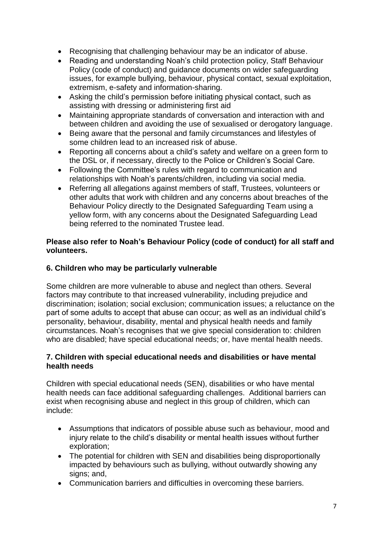- Recognising that challenging behaviour may be an indicator of abuse.
- Reading and understanding Noah's child protection policy, Staff Behaviour Policy (code of conduct) and guidance documents on wider safeguarding issues, for example bullying, behaviour, physical contact, sexual exploitation, extremism, e-safety and information-sharing.
- Asking the child's permission before initiating physical contact, such as assisting with dressing or administering first aid
- Maintaining appropriate standards of conversation and interaction with and between children and avoiding the use of sexualised or derogatory language.
- Being aware that the personal and family circumstances and lifestyles of some children lead to an increased risk of abuse.
- Reporting all concerns about a child's safety and welfare on a green form to the DSL or, if necessary, directly to the Police or Children's Social Care.
- Following the Committee's rules with regard to communication and relationships with Noah's parents/children, including via social media.
- Referring all allegations against members of staff, Trustees, volunteers or other adults that work with children and any concerns about breaches of the Behaviour Policy directly to the Designated Safeguarding Team using a yellow form, with any concerns about the Designated Safeguarding Lead being referred to the nominated Trustee lead.

### **Please also refer to Noah's Behaviour Policy (code of conduct) for all staff and volunteers.**

## **6. Children who may be particularly vulnerable**

Some children are more vulnerable to abuse and neglect than others. Several factors may contribute to that increased vulnerability, including prejudice and discrimination; isolation; social exclusion; communication issues; a reluctance on the part of some adults to accept that abuse can occur; as well as an individual child's personality, behaviour, disability, mental and physical health needs and family circumstances. Noah's recognises that we give special consideration to: children who are disabled; have special educational needs; or, have mental health needs.

### **7. Children with special educational needs and disabilities or have mental health needs**

Children with special educational needs (SEN), disabilities or who have mental health needs can face additional safeguarding challenges. Additional barriers can exist when recognising abuse and neglect in this group of children, which can include:

- Assumptions that indicators of possible abuse such as behaviour, mood and injury relate to the child's disability or mental health issues without further exploration;
- The potential for children with SEN and disabilities being disproportionally impacted by behaviours such as bullying, without outwardly showing any signs; and,
- Communication barriers and difficulties in overcoming these barriers.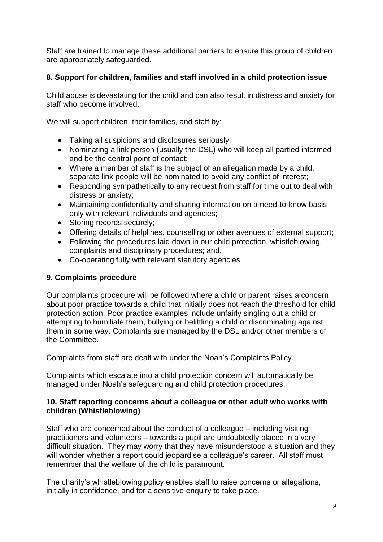Staff are trained to manage these additional barriers to ensure this group of children are appropriately safeguarded.

## **8. Support for children, families and staff involved in a child protection issue**

Child abuse is devastating for the child and can also result in distress and anxiety for staff who become involved.

We will support children, their families, and staff by:

- Taking all suspicions and disclosures seriously;
- Nominating a link person (usually the DSL) who will keep all partied informed and be the central point of contact;
- Where a member of staff is the subject of an allegation made by a child, separate link people will be nominated to avoid any conflict of interest;
- Responding sympathetically to any request from staff for time out to deal with distress or anxiety;
- Maintaining confidentiality and sharing information on a need-to-know basis only with relevant individuals and agencies;
- Storing records securely;
- Offering details of helplines, counselling or other avenues of external support;
- Following the procedures laid down in our child protection, whistleblowing, complaints and disciplinary procedures; and,
- Co-operating fully with relevant statutory agencies.

## **9. Complaints procedure**

Our complaints procedure will be followed where a child or parent raises a concern about poor practice towards a child that initially does not reach the threshold for child protection action. Poor practice examples include unfairly singling out a child or attempting to humiliate them, bullying or belittling a child or discriminating against them in some way. Complaints are managed by the DSL and/or other members of the Committee.

Complaints from staff are dealt with under the Noah's Complaints Policy.

Complaints which escalate into a child protection concern will automatically be managed under Noah's safeguarding and child protection procedures.

### **10. Staff reporting concerns about a colleague or other adult who works with children (Whistleblowing)**

Staff who are concerned about the conduct of a colleague – including visiting practitioners and volunteers – towards a pupil are undoubtedly placed in a very difficult situation. They may worry that they have misunderstood a situation and they will wonder whether a report could jeopardise a colleague's career. All staff must remember that the welfare of the child is paramount.

The charity's whistleblowing policy enables staff to raise concerns or allegations, initially in confidence, and for a sensitive enquiry to take place.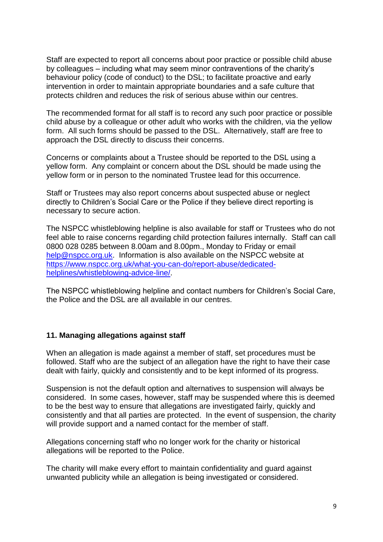Staff are expected to report all concerns about poor practice or possible child abuse by colleagues – including what may seem minor contraventions of the charity's behaviour policy (code of conduct) to the DSL; to facilitate proactive and early intervention in order to maintain appropriate boundaries and a safe culture that protects children and reduces the risk of serious abuse within our centres.

The recommended format for all staff is to record any such poor practice or possible child abuse by a colleague or other adult who works with the children, via the yellow form. All such forms should be passed to the DSL. Alternatively, staff are free to approach the DSL directly to discuss their concerns.

Concerns or complaints about a Trustee should be reported to the DSL using a yellow form. Any complaint or concern about the DSL should be made using the yellow form or in person to the nominated Trustee lead for this occurrence.

Staff or Trustees may also report concerns about suspected abuse or neglect directly to Children's Social Care or the Police if they believe direct reporting is necessary to secure action.

The NSPCC whistleblowing helpline is also available for staff or Trustees who do not feel able to raise concerns regarding child protection failures internally. Staff can call 0800 028 0285 between 8.00am and 8.00pm., Monday to Friday or email [help@nspcc.org.uk.](mailto:help@nspcc.org.uk) Information is also available on the NSPCC website at [https://www.nspcc.org.uk/what-you-can-do/report-abuse/dedicated](https://www.nspcc.org.uk/what-you-can-do/report-abuse/dedicated-helplines/whistleblowing-advice-line/)[helplines/whistleblowing-advice-line/.](https://www.nspcc.org.uk/what-you-can-do/report-abuse/dedicated-helplines/whistleblowing-advice-line/)

The NSPCC whistleblowing helpline and contact numbers for Children's Social Care, the Police and the DSL are all available in our centres.

#### **11. Managing allegations against staff**

When an allegation is made against a member of staff, set procedures must be followed. Staff who are the subject of an allegation have the right to have their case dealt with fairly, quickly and consistently and to be kept informed of its progress.

Suspension is not the default option and alternatives to suspension will always be considered. In some cases, however, staff may be suspended where this is deemed to be the best way to ensure that allegations are investigated fairly, quickly and consistently and that all parties are protected. In the event of suspension, the charity will provide support and a named contact for the member of staff.

Allegations concerning staff who no longer work for the charity or historical allegations will be reported to the Police.

The charity will make every effort to maintain confidentiality and guard against unwanted publicity while an allegation is being investigated or considered.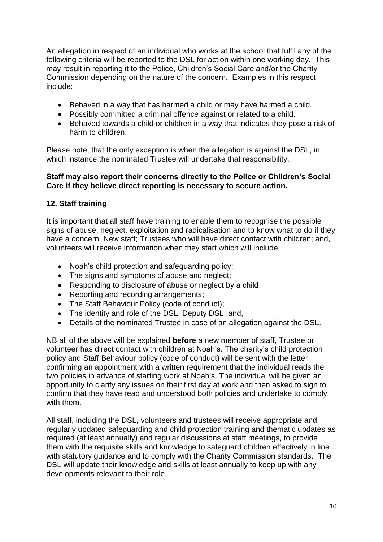An allegation in respect of an individual who works at the school that fulfil any of the following criteria will be reported to the DSL for action within one working day. This may result in reporting it to the Police, Children's Social Care and/or the Charity Commission depending on the nature of the concern. Examples in this respect include:

- Behaved in a way that has harmed a child or may have harmed a child.
- Possibly committed a criminal offence against or related to a child.
- Behaved towards a child or children in a way that indicates they pose a risk of harm to children.

Please note, that the only exception is when the allegation is against the DSL, in which instance the nominated Trustee will undertake that responsibility.

#### **Staff may also report their concerns directly to the Police or Children's Social Care if they believe direct reporting is necessary to secure action.**

## **12. Staff training**

It is important that all staff have training to enable them to recognise the possible signs of abuse, neglect, exploitation and radicalisation and to know what to do if they have a concern. New staff; Trustees who will have direct contact with children; and, volunteers will receive information when they start which will include:

- Noah's child protection and safeguarding policy;
- The signs and symptoms of abuse and neglect:
- Responding to disclosure of abuse or neglect by a child;
- Reporting and recording arrangements;
- The Staff Behaviour Policy (code of conduct);
- The identity and role of the DSL, Deputy DSL; and,
- Details of the nominated Trustee in case of an allegation against the DSL.

NB all of the above will be explained **before** a new member of staff, Trustee or volunteer has direct contact with children at Noah's. The charity's child protection policy and Staff Behaviour policy (code of conduct) will be sent with the letter confirming an appointment with a written requirement that the individual reads the two policies in advance of starting work at Noah's. The individual will be given an opportunity to clarify any issues on their first day at work and then asked to sign to confirm that they have read and understood both policies and undertake to comply with them.

All staff, including the DSL, volunteers and trustees will receive appropriate and regularly updated safeguarding and child protection training and thematic updates as required (at least annually) and regular discussions at staff meetings, to provide them with the requisite skills and knowledge to safeguard children effectively in line with statutory guidance and to comply with the Charity Commission standards. The DSL will update their knowledge and skills at least annually to keep up with any developments relevant to their role.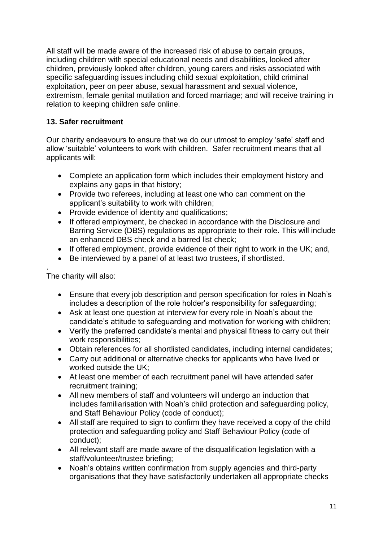All staff will be made aware of the increased risk of abuse to certain groups, including children with special educational needs and disabilities, looked after children, previously looked after children, young carers and risks associated with specific safeguarding issues including child sexual exploitation, child criminal exploitation, peer on peer abuse, sexual harassment and sexual violence, extremism, female genital mutilation and forced marriage; and will receive training in relation to keeping children safe online.

# **13. Safer recruitment**

Our charity endeavours to ensure that we do our utmost to employ 'safe' staff and allow 'suitable' volunteers to work with children. Safer recruitment means that all applicants will:

- Complete an application form which includes their employment history and explains any gaps in that history;
- Provide two referees, including at least one who can comment on the applicant's suitability to work with children;
- Provide evidence of identity and qualifications;
- If offered employment, be checked in accordance with the Disclosure and Barring Service (DBS) regulations as appropriate to their role. This will include an enhanced DBS check and a barred list check;
- If offered employment, provide evidence of their right to work in the UK; and,
- Be interviewed by a panel of at least two trustees, if shortlisted.

. The charity will also:

- Ensure that every job description and person specification for roles in Noah's includes a description of the role holder's responsibility for safeguarding;
- Ask at least one question at interview for every role in Noah's about the candidate's attitude to safeguarding and motivation for working with children;
- Verify the preferred candidate's mental and physical fitness to carry out their work responsibilities;
- Obtain references for all shortlisted candidates, including internal candidates;
- Carry out additional or alternative checks for applicants who have lived or worked outside the UK;
- At least one member of each recruitment panel will have attended safer recruitment training;
- All new members of staff and volunteers will undergo an induction that includes familiarisation with Noah's child protection and safeguarding policy, and Staff Behaviour Policy (code of conduct);
- All staff are required to sign to confirm they have received a copy of the child protection and safeguarding policy and Staff Behaviour Policy (code of conduct);
- All relevant staff are made aware of the disqualification legislation with a staff/volunteer/trustee briefing;
- Noah's obtains written confirmation from supply agencies and third-party organisations that they have satisfactorily undertaken all appropriate checks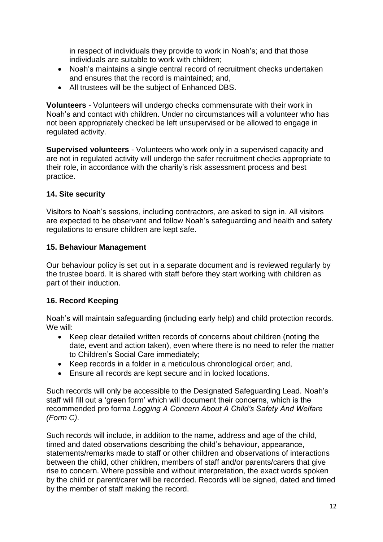in respect of individuals they provide to work in Noah's; and that those individuals are suitable to work with children;

- Noah's maintains a single central record of recruitment checks undertaken and ensures that the record is maintained; and,
- All trustees will be the subject of Enhanced DBS.

**Volunteers** - Volunteers will undergo checks commensurate with their work in Noah's and contact with children. Under no circumstances will a volunteer who has not been appropriately checked be left unsupervised or be allowed to engage in regulated activity.

**Supervised volunteers** - Volunteers who work only in a supervised capacity and are not in regulated activity will undergo the safer recruitment checks appropriate to their role, in accordance with the charity's risk assessment process and best practice.

## **14. Site security**

Visitors to Noah's sessions, including contractors, are asked to sign in. All visitors are expected to be observant and follow Noah's safeguarding and health and safety regulations to ensure children are kept safe.

## **15. Behaviour Management**

Our behaviour policy is set out in a separate document and is reviewed regularly by the trustee board. It is shared with staff before they start working with children as part of their induction.

# **16. Record Keeping**

Noah's will maintain safeguarding (including early help) and child protection records. We will:

- Keep clear detailed written records of concerns about children (noting the date, event and action taken), even where there is no need to refer the matter to Children's Social Care immediately;
- Keep records in a folder in a meticulous chronological order; and,
- Ensure all records are kept secure and in locked locations.

Such records will only be accessible to the Designated Safeguarding Lead. Noah's staff will fill out a 'green form' which will document their concerns, which is the recommended pro forma *Logging A Concern About A Child's Safety And Welfare (Form C)*.

Such records will include, in addition to the name, address and age of the child, timed and dated observations describing the child's behaviour, appearance, statements/remarks made to staff or other children and observations of interactions between the child, other children, members of staff and/or parents/carers that give rise to concern. Where possible and without interpretation, the exact words spoken by the child or parent/carer will be recorded. Records will be signed, dated and timed by the member of staff making the record.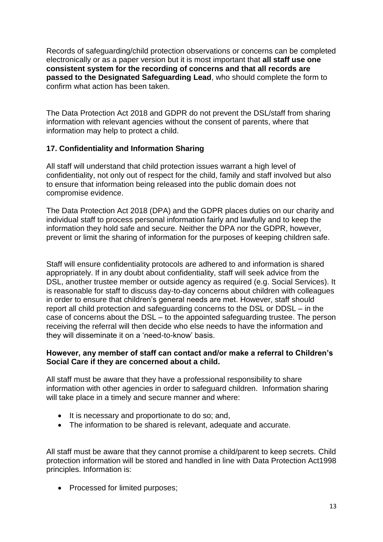Records of safeguarding/child protection observations or concerns can be completed electronically or as a paper version but it is most important that **all staff use one consistent system for the recording of concerns and that all records are passed to the Designated Safeguarding Lead**, who should complete the form to confirm what action has been taken.

The Data Protection Act 2018 and GDPR do not prevent the DSL/staff from sharing information with relevant agencies without the consent of parents, where that information may help to protect a child.

## **17. Confidentiality and Information Sharing**

All staff will understand that child protection issues warrant a high level of confidentiality, not only out of respect for the child, family and staff involved but also to ensure that information being released into the public domain does not compromise evidence.

The Data Protection Act 2018 (DPA) and the GDPR places duties on our charity and individual staff to process personal information fairly and lawfully and to keep the information they hold safe and secure. Neither the DPA nor the GDPR, however, prevent or limit the sharing of information for the purposes of keeping children safe.

Staff will ensure confidentiality protocols are adhered to and information is shared appropriately. If in any doubt about confidentiality, staff will seek advice from the DSL, another trustee member or outside agency as required (e.g. Social Services). It is reasonable for staff to discuss day-to-day concerns about children with colleagues in order to ensure that children's general needs are met. However, staff should report all child protection and safeguarding concerns to the DSL or DDSL – in the case of concerns about the DSL – to the appointed safeguarding trustee. The person receiving the referral will then decide who else needs to have the information and they will disseminate it on a 'need-to-know' basis.

### **However, any member of staff can contact and/or make a referral to Children's Social Care if they are concerned about a child.**

All staff must be aware that they have a professional responsibility to share information with other agencies in order to safeguard children. Information sharing will take place in a timely and secure manner and where:

- It is necessary and proportionate to do so; and,
- The information to be shared is relevant, adequate and accurate.

All staff must be aware that they cannot promise a child/parent to keep secrets. Child protection information will be stored and handled in line with Data Protection Act1998 principles. Information is:

• Processed for limited purposes;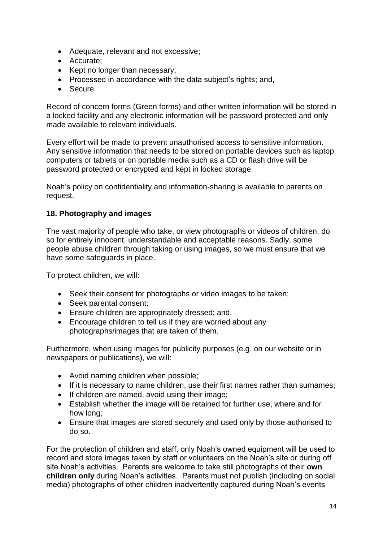- Adequate, relevant and not excessive;
- Accurate;
- Kept no longer than necessary;
- Processed in accordance with the data subject's rights; and,
- Secure.

Record of concern forms (Green forms) and other written information will be stored in a locked facility and any electronic information will be password protected and only made available to relevant individuals.

Every effort will be made to prevent unauthorised access to sensitive information. Any sensitive information that needs to be stored on portable devices such as laptop computers or tablets or on portable media such as a CD or flash drive will be password protected or encrypted and kept in locked storage.

Noah's policy on confidentiality and information-sharing is available to parents on request.

## **18. Photography and images**

The vast majority of people who take, or view photographs or videos of children, do so for entirely innocent, understandable and acceptable reasons. Sadly, some people abuse children through taking or using images, so we must ensure that we have some safeguards in place.

To protect children, we will:

- Seek their consent for photographs or video images to be taken:
- Seek parental consent;
- Ensure children are appropriately dressed; and,
- Encourage children to tell us if they are worried about any photographs/images that are taken of them.

Furthermore, when using images for publicity purposes (e.g. on our website or in newspapers or publications), we will:

- Avoid naming children when possible;
- If it is necessary to name children, use their first names rather than surnames;
- If children are named, avoid using their image;
- Establish whether the image will be retained for further use, where and for how long;
- Ensure that images are stored securely and used only by those authorised to do so.

For the protection of children and staff, only Noah's owned equipment will be used to record and store images taken by staff or volunteers on the Noah's site or during off site Noah's activities. Parents are welcome to take still photographs of their **own children only** during Noah's activities. Parents must not publish (including on social media) photographs of other children inadvertently captured during Noah's events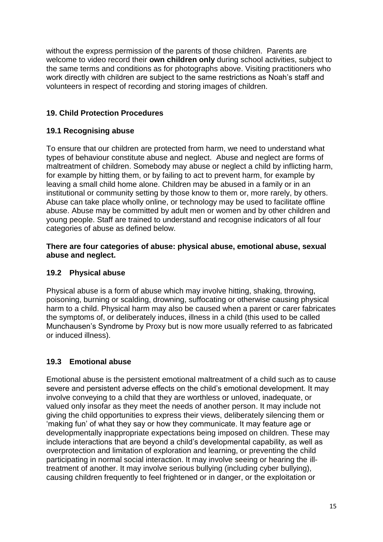without the express permission of the parents of those children. Parents are welcome to video record their **own children only** during school activities, subject to the same terms and conditions as for photographs above. Visiting practitioners who work directly with children are subject to the same restrictions as Noah's staff and volunteers in respect of recording and storing images of children.

# **19. Child Protection Procedures**

## **19.1 Recognising abuse**

To ensure that our children are protected from harm, we need to understand what types of behaviour constitute abuse and neglect. Abuse and neglect are forms of maltreatment of children. Somebody may abuse or neglect a child by inflicting harm, for example by hitting them, or by failing to act to prevent harm, for example by leaving a small child home alone. Children may be abused in a family or in an institutional or community setting by those know to them or, more rarely, by others. Abuse can take place wholly online, or technology may be used to facilitate offline abuse. Abuse may be committed by adult men or women and by other children and young people. Staff are trained to understand and recognise indicators of all four categories of abuse as defined below.

#### **There are four categories of abuse: physical abuse, emotional abuse, sexual abuse and neglect.**

## **19.2 Physical abuse**

Physical abuse is a form of abuse which may involve hitting, shaking, throwing, poisoning, burning or scalding, drowning, suffocating or otherwise causing physical harm to a child. Physical harm may also be caused when a parent or carer fabricates the symptoms of, or deliberately induces, illness in a child (this used to be called Munchausen's Syndrome by Proxy but is now more usually referred to as fabricated or induced illness).

## **19.3 Emotional abuse**

Emotional abuse is the persistent emotional maltreatment of a child such as to cause severe and persistent adverse effects on the child's emotional development. It may involve conveying to a child that they are worthless or unloved, inadequate, or valued only insofar as they meet the needs of another person. It may include not giving the child opportunities to express their views, deliberately silencing them or 'making fun' of what they say or how they communicate. It may feature age or developmentally inappropriate expectations being imposed on children. These may include interactions that are beyond a child's developmental capability, as well as overprotection and limitation of exploration and learning, or preventing the child participating in normal social interaction. It may involve seeing or hearing the illtreatment of another. It may involve serious bullying (including cyber bullying), causing children frequently to feel frightened or in danger, or the exploitation or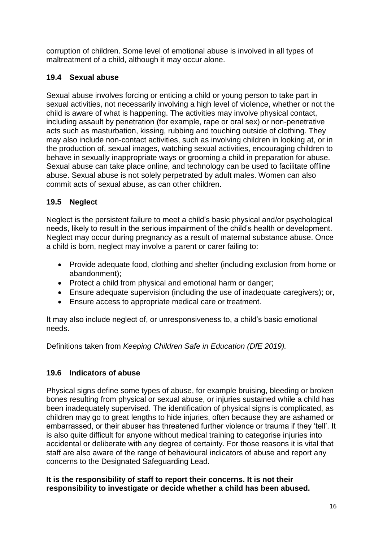corruption of children. Some level of emotional abuse is involved in all types of maltreatment of a child, although it may occur alone.

# **19.4 Sexual abuse**

Sexual abuse involves forcing or enticing a child or young person to take part in sexual activities, not necessarily involving a high level of violence, whether or not the child is aware of what is happening. The activities may involve physical contact, including assault by penetration (for example, rape or oral sex) or non-penetrative acts such as masturbation, kissing, rubbing and touching outside of clothing. They may also include non-contact activities, such as involving children in looking at, or in the production of, sexual images, watching sexual activities, encouraging children to behave in sexually inappropriate ways or grooming a child in preparation for abuse. Sexual abuse can take place online, and technology can be used to facilitate offline abuse. Sexual abuse is not solely perpetrated by adult males. Women can also commit acts of sexual abuse, as can other children.

# **19.5 Neglect**

Neglect is the persistent failure to meet a child's basic physical and/or psychological needs, likely to result in the serious impairment of the child's health or development. Neglect may occur during pregnancy as a result of maternal substance abuse. Once a child is born, neglect may involve a parent or carer failing to:

- Provide adequate food, clothing and shelter (including exclusion from home or abandonment);
- Protect a child from physical and emotional harm or danger;
- Ensure adequate supervision (including the use of inadequate caregivers); or,
- Ensure access to appropriate medical care or treatment.

It may also include neglect of, or unresponsiveness to, a child's basic emotional needs.

Definitions taken from *Keeping Children Safe in Education (DfE 2019).*

# **19.6 Indicators of abuse**

Physical signs define some types of abuse, for example bruising, bleeding or broken bones resulting from physical or sexual abuse, or injuries sustained while a child has been inadequately supervised. The identification of physical signs is complicated, as children may go to great lengths to hide injuries, often because they are ashamed or embarrassed, or their abuser has threatened further violence or trauma if they 'tell'. It is also quite difficult for anyone without medical training to categorise injuries into accidental or deliberate with any degree of certainty. For those reasons it is vital that staff are also aware of the range of behavioural indicators of abuse and report any concerns to the Designated Safeguarding Lead.

**It is the responsibility of staff to report their concerns. It is not their responsibility to investigate or decide whether a child has been abused.**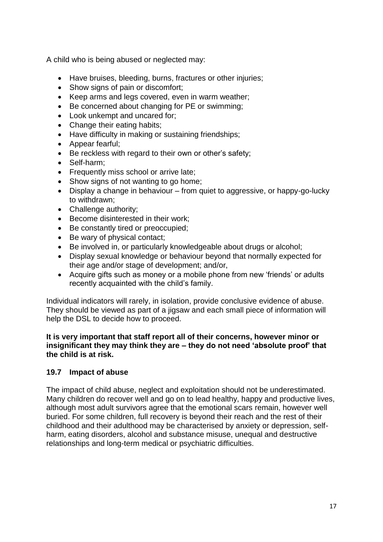A child who is being abused or neglected may:

- Have bruises, bleeding, burns, fractures or other injuries;
- Show signs of pain or discomfort;
- Keep arms and legs covered, even in warm weather;
- Be concerned about changing for PE or swimming;
- Look unkempt and uncared for;
- Change their eating habits;
- Have difficulty in making or sustaining friendships;
- Appear fearful;
- Be reckless with regard to their own or other's safety;
- Self-harm:
- Frequently miss school or arrive late;
- Show signs of not wanting to go home;
- Display a change in behaviour from quiet to aggressive, or happy-go-lucky to withdrawn;
- Challenge authority:
- **Become disinterested in their work:**
- Be constantly tired or preoccupied;
- Be wary of physical contact:
- Be involved in, or particularly knowledgeable about drugs or alcohol;
- Display sexual knowledge or behaviour beyond that normally expected for their age and/or stage of development; and/or,
- Acquire gifts such as money or a mobile phone from new 'friends' or adults recently acquainted with the child's family.

Individual indicators will rarely, in isolation, provide conclusive evidence of abuse. They should be viewed as part of a jigsaw and each small piece of information will help the DSL to decide how to proceed.

#### **It is very important that staff report all of their concerns, however minor or insignificant they may think they are – they do not need 'absolute proof' that the child is at risk.**

## **19.7 Impact of abuse**

The impact of child abuse, neglect and exploitation should not be underestimated. Many children do recover well and go on to lead healthy, happy and productive lives, although most adult survivors agree that the emotional scars remain, however well buried. For some children, full recovery is beyond their reach and the rest of their childhood and their adulthood may be characterised by anxiety or depression, selfharm, eating disorders, alcohol and substance misuse, unequal and destructive relationships and long-term medical or psychiatric difficulties.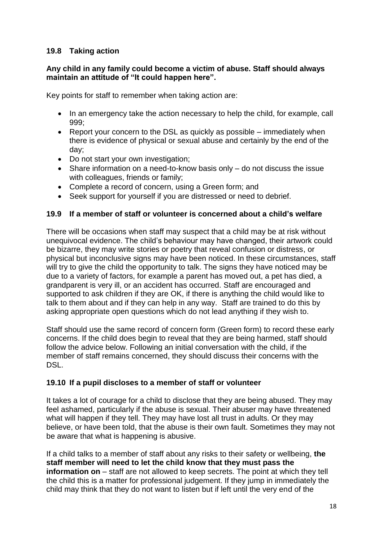## **19.8 Taking action**

#### **Any child in any family could become a victim of abuse. Staff should always maintain an attitude of "It could happen here".**

Key points for staff to remember when taking action are:

- In an emergency take the action necessary to help the child, for example, call 999;
- Report your concern to the DSL as quickly as possible immediately when there is evidence of physical or sexual abuse and certainly by the end of the day;
- Do not start your own investigation;
- Share information on a need-to-know basis only do not discuss the issue with colleagues, friends or family;
- Complete a record of concern, using a Green form; and
- Seek support for yourself if you are distressed or need to debrief.

### **19.9 If a member of staff or volunteer is concerned about a child's welfare**

There will be occasions when staff may suspect that a child may be at risk without unequivocal evidence. The child's behaviour may have changed, their artwork could be bizarre, they may write stories or poetry that reveal confusion or distress, or physical but inconclusive signs may have been noticed. In these circumstances, staff will try to give the child the opportunity to talk. The signs they have noticed may be due to a variety of factors, for example a parent has moved out, a pet has died, a grandparent is very ill, or an accident has occurred. Staff are encouraged and supported to ask children if they are OK, if there is anything the child would like to talk to them about and if they can help in any way. Staff are trained to do this by asking appropriate open questions which do not lead anything if they wish to.

Staff should use the same record of concern form (Green form) to record these early concerns. If the child does begin to reveal that they are being harmed, staff should follow the advice below. Following an initial conversation with the child, if the member of staff remains concerned, they should discuss their concerns with the DSL.

## **19.10 If a pupil discloses to a member of staff or volunteer**

It takes a lot of courage for a child to disclose that they are being abused. They may feel ashamed, particularly if the abuse is sexual. Their abuser may have threatened what will happen if they tell. They may have lost all trust in adults. Or they may believe, or have been told, that the abuse is their own fault. Sometimes they may not be aware that what is happening is abusive.

If a child talks to a member of staff about any risks to their safety or wellbeing, **the staff member will need to let the child know that they must pass the information on** – staff are not allowed to keep secrets. The point at which they tell the child this is a matter for professional judgement. If they jump in immediately the child may think that they do not want to listen but if left until the very end of the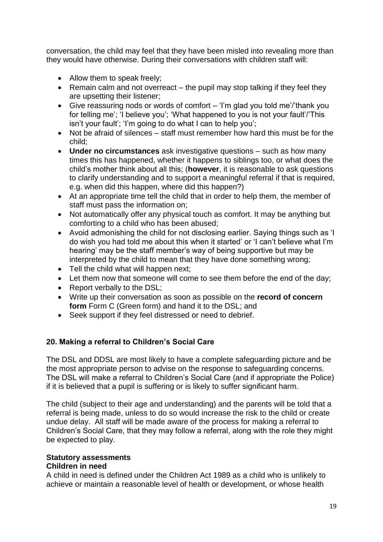conversation, the child may feel that they have been misled into revealing more than they would have otherwise. During their conversations with children staff will:

- Allow them to speak freely;
- Remain calm and not overreact the pupil may stop talking if they feel they are upsetting their listener;
- Give reassuring nods or words of comfort 'I'm glad you told me'/'thank you for telling me'; 'I believe you'; 'What happened to you is not your fault'/'This isn't your fault'; 'I'm going to do what I can to help you';
- Not be afraid of silences staff must remember how hard this must be for the child;
- **Under no circumstances** ask investigative questions such as how many times this has happened, whether it happens to siblings too, or what does the child's mother think about all this; (**however**, it is reasonable to ask questions to clarify understanding and to support a meaningful referral if that is required, e.g. when did this happen, where did this happen?)
- At an appropriate time tell the child that in order to help them, the member of staff must pass the information on;
- Not automatically offer any physical touch as comfort. It may be anything but comforting to a child who has been abused;
- Avoid admonishing the child for not disclosing earlier. Saying things such as 'I do wish you had told me about this when it started' or 'I can't believe what I'm hearing' may be the staff member's way of being supportive but may be interpreted by the child to mean that they have done something wrong;
- Tell the child what will happen next:
- Let them now that someone will come to see them before the end of the day;
- Report verbally to the DSL:
- Write up their conversation as soon as possible on the **record of concern form** Form C (Green form) and hand it to the DSL; and
- Seek support if they feel distressed or need to debrief.

## **20. Making a referral to Children's Social Care**

The DSL and DDSL are most likely to have a complete safeguarding picture and be the most appropriate person to advise on the response to safeguarding concerns. The DSL will make a referral to Children's Social Care (and if appropriate the Police) if it is believed that a pupil is suffering or is likely to suffer significant harm.

The child (subject to their age and understanding) and the parents will be told that a referral is being made, unless to do so would increase the risk to the child or create undue delay. All staff will be made aware of the process for making a referral to Children's Social Care, that they may follow a referral, along with the role they might be expected to play.

## **Statutory assessments**

#### **Children in need**

A child in need is defined under the Children Act 1989 as a child who is unlikely to achieve or maintain a reasonable level of health or development, or whose health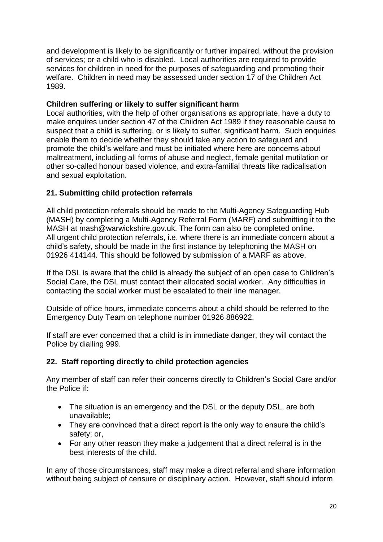and development is likely to be significantly or further impaired, without the provision of services; or a child who is disabled. Local authorities are required to provide services for children in need for the purposes of safeguarding and promoting their welfare. Children in need may be assessed under section 17 of the Children Act 1989.

## **Children suffering or likely to suffer significant harm**

Local authorities, with the help of other organisations as appropriate, have a duty to make enquires under section 47 of the Children Act 1989 if they reasonable cause to suspect that a child is suffering, or is likely to suffer, significant harm. Such enquiries enable them to decide whether they should take any action to safeguard and promote the child's welfare and must be initiated where here are concerns about maltreatment, including all forms of abuse and neglect, female genital mutilation or other so-called honour based violence, and extra-familial threats like radicalisation and sexual exploitation.

## **21. Submitting child protection referrals**

All child protection referrals should be made to the Multi-Agency Safeguarding Hub (MASH) by completing a Multi-Agency Referral Form (MARF) and submitting it to the MASH at mash@warwickshire.gov.uk. The form can also be completed online. All urgent child protection referrals, i.e. where there is an immediate concern about a child's safety, should be made in the first instance by telephoning the MASH on 01926 414144. This should be followed by submission of a MARF as above.

If the DSL is aware that the child is already the subject of an open case to Children's Social Care, the DSL must contact their allocated social worker. Any difficulties in contacting the social worker must be escalated to their line manager.

Outside of office hours, immediate concerns about a child should be referred to the Emergency Duty Team on telephone number 01926 886922.

If staff are ever concerned that a child is in immediate danger, they will contact the Police by dialling 999.

## **22. Staff reporting directly to child protection agencies**

Any member of staff can refer their concerns directly to Children's Social Care and/or the Police if:

- The situation is an emergency and the DSL or the deputy DSL, are both unavailable;
- They are convinced that a direct report is the only way to ensure the child's safety; or,
- For any other reason they make a judgement that a direct referral is in the best interests of the child.

In any of those circumstances, staff may make a direct referral and share information without being subject of censure or disciplinary action. However, staff should inform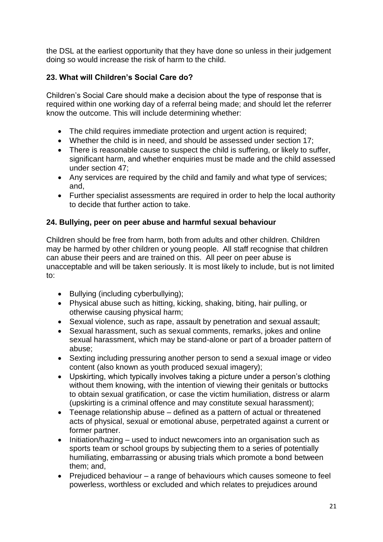the DSL at the earliest opportunity that they have done so unless in their judgement doing so would increase the risk of harm to the child.

# **23. What will Children's Social Care do?**

Children's Social Care should make a decision about the type of response that is required within one working day of a referral being made; and should let the referrer know the outcome. This will include determining whether:

- The child requires immediate protection and urgent action is required;
- Whether the child is in need, and should be assessed under section 17;
- There is reasonable cause to suspect the child is suffering, or likely to suffer, significant harm, and whether enquiries must be made and the child assessed under section 47;
- Any services are required by the child and family and what type of services; and,
- Further specialist assessments are required in order to help the local authority to decide that further action to take.

# **24. Bullying, peer on peer abuse and harmful sexual behaviour**

Children should be free from harm, both from adults and other children. Children may be harmed by other children or young people. All staff recognise that children can abuse their peers and are trained on this. All peer on peer abuse is unacceptable and will be taken seriously. It is most likely to include, but is not limited to:

- Bullying (including cyberbullying):
- Physical abuse such as hitting, kicking, shaking, biting, hair pulling, or otherwise causing physical harm;
- Sexual violence, such as rape, assault by penetration and sexual assault;
- Sexual harassment, such as sexual comments, remarks, jokes and online sexual harassment, which may be stand-alone or part of a broader pattern of abuse;
- Sexting including pressuring another person to send a sexual image or video content (also known as youth produced sexual imagery);
- Upskirting, which typically involves taking a picture under a person's clothing without them knowing, with the intention of viewing their genitals or buttocks to obtain sexual gratification, or case the victim humiliation, distress or alarm (upskirting is a criminal offence and may constitute sexual harassment);
- Teenage relationship abuse defined as a pattern of actual or threatened acts of physical, sexual or emotional abuse, perpetrated against a current or former partner.
- Initiation/hazing used to induct newcomers into an organisation such as sports team or school groups by subjecting them to a series of potentially humiliating, embarrassing or abusing trials which promote a bond between them; and,
- Prejudiced behaviour a range of behaviours which causes someone to feel powerless, worthless or excluded and which relates to prejudices around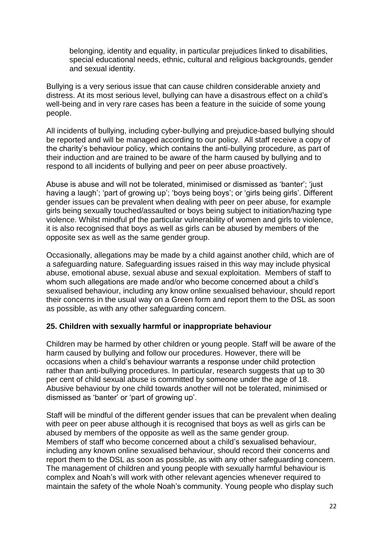belonging, identity and equality, in particular prejudices linked to disabilities, special educational needs, ethnic, cultural and religious backgrounds, gender and sexual identity.

Bullying is a very serious issue that can cause children considerable anxiety and distress. At its most serious level, bullying can have a disastrous effect on a child's well-being and in very rare cases has been a feature in the suicide of some young people.

All incidents of bullying, including cyber-bullying and prejudice-based bullying should be reported and will be managed according to our policy. All staff receive a copy of the charity's behaviour policy, which contains the anti-bullying procedure, as part of their induction and are trained to be aware of the harm caused by bullying and to respond to all incidents of bullying and peer on peer abuse proactively.

Abuse is abuse and will not be tolerated, minimised or dismissed as 'banter'; 'just having a laugh'; 'part of growing up'; 'boys being boys'; or 'girls being girls'. Different gender issues can be prevalent when dealing with peer on peer abuse, for example girls being sexually touched/assaulted or boys being subject to initiation/hazing type violence. Whilst mindful pf the particular vulnerability of women and girls to violence, it is also recognised that boys as well as girls can be abused by members of the opposite sex as well as the same gender group.

Occasionally, allegations may be made by a child against another child, which are of a safeguarding nature. Safeguarding issues raised in this way may include physical abuse, emotional abuse, sexual abuse and sexual exploitation. Members of staff to whom such allegations are made and/or who become concerned about a child's sexualised behaviour, including any know online sexualised behaviour, should report their concerns in the usual way on a Green form and report them to the DSL as soon as possible, as with any other safeguarding concern.

#### **25. Children with sexually harmful or inappropriate behaviour**

Children may be harmed by other children or young people. Staff will be aware of the harm caused by bullying and follow our procedures. However, there will be occasions when a child's behaviour warrants a response under child protection rather than anti-bullying procedures. In particular, research suggests that up to 30 per cent of child sexual abuse is committed by someone under the age of 18. Abusive behaviour by one child towards another will not be tolerated, minimised or dismissed as 'banter' or 'part of growing up'.

Staff will be mindful of the different gender issues that can be prevalent when dealing with peer on peer abuse although it is recognised that boys as well as girls can be abused by members of the opposite as well as the same gender group. Members of staff who become concerned about a child's sexualised behaviour, including any known online sexualised behaviour, should record their concerns and report them to the DSL as soon as possible, as with any other safeguarding concern. The management of children and young people with sexually harmful behaviour is complex and Noah's will work with other relevant agencies whenever required to maintain the safety of the whole Noah's community. Young people who display such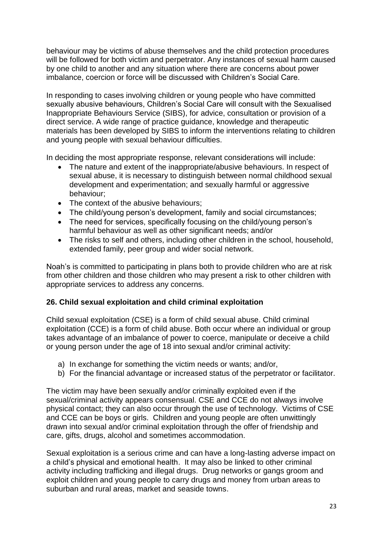behaviour may be victims of abuse themselves and the child protection procedures will be followed for both victim and perpetrator. Any instances of sexual harm caused by one child to another and any situation where there are concerns about power imbalance, coercion or force will be discussed with Children's Social Care.

In responding to cases involving children or young people who have committed sexually abusive behaviours, Children's Social Care will consult with the Sexualised Inappropriate Behaviours Service (SIBS), for advice, consultation or provision of a direct service. A wide range of practice guidance, knowledge and therapeutic materials has been developed by SIBS to inform the interventions relating to children and young people with sexual behaviour difficulties.

In deciding the most appropriate response, relevant considerations will include:

- The nature and extent of the inappropriate/abusive behaviours. In respect of sexual abuse, it is necessary to distinguish between normal childhood sexual development and experimentation; and sexually harmful or aggressive behaviour;
- The context of the abusive behaviours;
- The child/young person's development, family and social circumstances;
- The need for services, specifically focusing on the child/young person's harmful behaviour as well as other significant needs; and/or
- The risks to self and others, including other children in the school, household, extended family, peer group and wider social network.

Noah's is committed to participating in plans both to provide children who are at risk from other children and those children who may present a risk to other children with appropriate services to address any concerns.

#### **26. Child sexual exploitation and child criminal exploitation**

Child sexual exploitation (CSE) is a form of child sexual abuse. Child criminal exploitation (CCE) is a form of child abuse. Both occur where an individual or group takes advantage of an imbalance of power to coerce, manipulate or deceive a child or young person under the age of 18 into sexual and/or criminal activity:

- a) In exchange for something the victim needs or wants; and/or,
- b) For the financial advantage or increased status of the perpetrator or facilitator.

The victim may have been sexually and/or criminally exploited even if the sexual/criminal activity appears consensual. CSE and CCE do not always involve physical contact; they can also occur through the use of technology. Victims of CSE and CCE can be boys or girls. Children and young people are often unwittingly drawn into sexual and/or criminal exploitation through the offer of friendship and care, gifts, drugs, alcohol and sometimes accommodation.

Sexual exploitation is a serious crime and can have a long-lasting adverse impact on a child's physical and emotional health. It may also be linked to other criminal activity including trafficking and illegal drugs. Drug networks or gangs groom and exploit children and young people to carry drugs and money from urban areas to suburban and rural areas, market and seaside towns.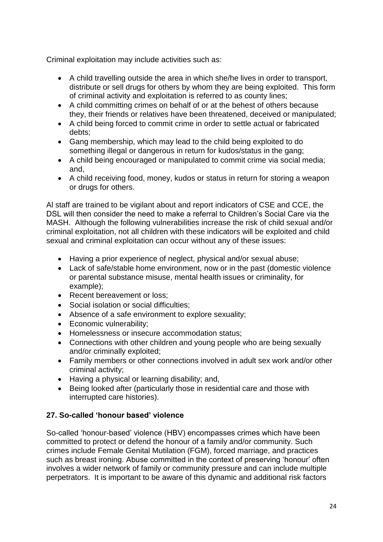Criminal exploitation may include activities such as:

- A child travelling outside the area in which she/he lives in order to transport, distribute or sell drugs for others by whom they are being exploited. This form of criminal activity and exploitation is referred to as county lines;
- A child committing crimes on behalf of or at the behest of others because they, their friends or relatives have been threatened, deceived or manipulated;
- A child being forced to commit crime in order to settle actual or fabricated debts;
- Gang membership, which may lead to the child being exploited to do something illegal or dangerous in return for kudos/status in the gang;
- A child being encouraged or manipulated to commit crime via social media; and,
- A child receiving food, money, kudos or status in return for storing a weapon or drugs for others.

Al staff are trained to be vigilant about and report indicators of CSE and CCE, the DSL will then consider the need to make a referral to Children's Social Care via the MASH. Although the following vulnerabilities increase the risk of child sexual and/or criminal exploitation, not all children with these indicators will be exploited and child sexual and criminal exploitation can occur without any of these issues:

- Having a prior experience of neglect, physical and/or sexual abuse;
- Lack of safe/stable home environment, now or in the past (domestic violence or parental substance misuse, mental health issues or criminality, for example);
- Recent bereavement or loss;
- Social isolation or social difficulties;
- Absence of a safe environment to explore sexuality;
- Economic vulnerability;
- Homelessness or insecure accommodation status;
- Connections with other children and young people who are being sexually and/or criminally exploited;
- Family members or other connections involved in adult sex work and/or other criminal activity;
- Having a physical or learning disability; and,
- Being looked after (particularly those in residential care and those with interrupted care histories).

## **27. So-called 'honour based' violence**

So-called 'honour-based' violence (HBV) encompasses crimes which have been committed to protect or defend the honour of a family and/or community. Such crimes include Female Genital Mutilation (FGM), forced marriage, and practices such as breast ironing. Abuse committed in the context of preserving 'honour' often involves a wider network of family or community pressure and can include multiple perpetrators. It is important to be aware of this dynamic and additional risk factors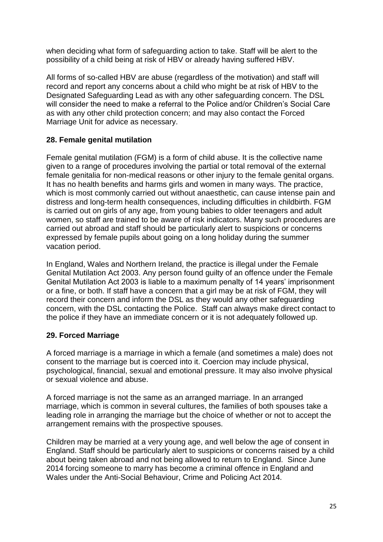when deciding what form of safeguarding action to take. Staff will be alert to the possibility of a child being at risk of HBV or already having suffered HBV.

All forms of so-called HBV are abuse (regardless of the motivation) and staff will record and report any concerns about a child who might be at risk of HBV to the Designated Safeguarding Lead as with any other safeguarding concern. The DSL will consider the need to make a referral to the Police and/or Children's Social Care as with any other child protection concern; and may also contact the Forced Marriage Unit for advice as necessary.

## **28. Female genital mutilation**

Female genital mutilation (FGM) is a form of child abuse. It is the collective name given to a range of procedures involving the partial or total removal of the external female genitalia for non-medical reasons or other injury to the female genital organs. It has no health benefits and harms girls and women in many ways. The practice, which is most commonly carried out without anaesthetic, can cause intense pain and distress and long-term health consequences, including difficulties in childbirth. FGM is carried out on girls of any age, from young babies to older teenagers and adult women, so staff are trained to be aware of risk indicators. Many such procedures are carried out abroad and staff should be particularly alert to suspicions or concerns expressed by female pupils about going on a long holiday during the summer vacation period.

In England, Wales and Northern Ireland, the practice is illegal under the Female Genital Mutilation Act 2003. Any person found guilty of an offence under the Female Genital Mutilation Act 2003 is liable to a maximum penalty of 14 years' imprisonment or a fine, or both. If staff have a concern that a girl may be at risk of FGM, they will record their concern and inform the DSL as they would any other safeguarding concern, with the DSL contacting the Police. Staff can always make direct contact to the police if they have an immediate concern or it is not adequately followed up.

## **29. Forced Marriage**

A forced marriage is a marriage in which a female (and sometimes a male) does not consent to the marriage but is coerced into it. Coercion may include physical, psychological, financial, sexual and emotional pressure. It may also involve physical or sexual violence and abuse.

A forced marriage is not the same as an arranged marriage. In an arranged marriage, which is common in several cultures, the families of both spouses take a leading role in arranging the marriage but the choice of whether or not to accept the arrangement remains with the prospective spouses.

Children may be married at a very young age, and well below the age of consent in England. Staff should be particularly alert to suspicions or concerns raised by a child about being taken abroad and not being allowed to return to England. Since June 2014 forcing someone to marry has become a criminal offence in England and Wales under the Anti-Social Behaviour, Crime and Policing Act 2014*.*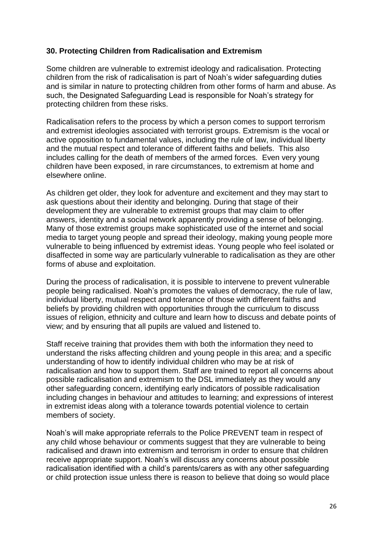### **30. Protecting Children from Radicalisation and Extremism**

Some children are vulnerable to extremist ideology and radicalisation. Protecting children from the risk of radicalisation is part of Noah's wider safeguarding duties and is similar in nature to protecting children from other forms of harm and abuse. As such, the Designated Safeguarding Lead is responsible for Noah's strategy for protecting children from these risks.

Radicalisation refers to the process by which a person comes to support terrorism and extremist ideologies associated with terrorist groups. Extremism is the vocal or active opposition to fundamental values, including the rule of law, individual liberty and the mutual respect and tolerance of different faiths and beliefs. This also includes calling for the death of members of the armed forces. Even very young children have been exposed, in rare circumstances, to extremism at home and elsewhere online.

As children get older, they look for adventure and excitement and they may start to ask questions about their identity and belonging. During that stage of their development they are vulnerable to extremist groups that may claim to offer answers, identity and a social network apparently providing a sense of belonging. Many of those extremist groups make sophisticated use of the internet and social media to target young people and spread their ideology, making young people more vulnerable to being influenced by extremist ideas. Young people who feel isolated or disaffected in some way are particularly vulnerable to radicalisation as they are other forms of abuse and exploitation.

During the process of radicalisation, it is possible to intervene to prevent vulnerable people being radicalised. Noah's promotes the values of democracy, the rule of law, individual liberty, mutual respect and tolerance of those with different faiths and beliefs by providing children with opportunities through the curriculum to discuss issues of religion, ethnicity and culture and learn how to discuss and debate points of view; and by ensuring that all pupils are valued and listened to.

Staff receive training that provides them with both the information they need to understand the risks affecting children and young people in this area; and a specific understanding of how to identify individual children who may be at risk of radicalisation and how to support them. Staff are trained to report all concerns about possible radicalisation and extremism to the DSL immediately as they would any other safeguarding concern, identifying early indicators of possible radicalisation including changes in behaviour and attitudes to learning; and expressions of interest in extremist ideas along with a tolerance towards potential violence to certain members of society.

Noah's will make appropriate referrals to the Police PREVENT team in respect of any child whose behaviour or comments suggest that they are vulnerable to being radicalised and drawn into extremism and terrorism in order to ensure that children receive appropriate support. Noah's will discuss any concerns about possible radicalisation identified with a child's parents/carers as with any other safeguarding or child protection issue unless there is reason to believe that doing so would place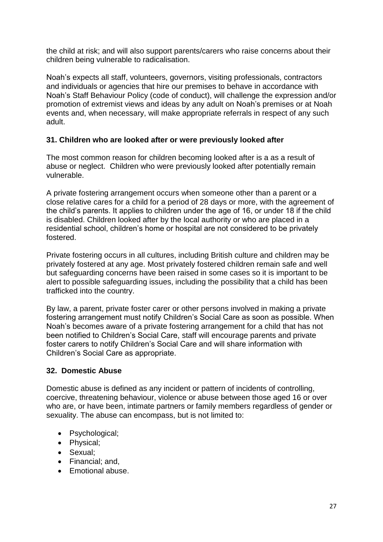the child at risk; and will also support parents/carers who raise concerns about their children being vulnerable to radicalisation.

Noah's expects all staff, volunteers, governors, visiting professionals, contractors and individuals or agencies that hire our premises to behave in accordance with Noah's Staff Behaviour Policy (code of conduct), will challenge the expression and/or promotion of extremist views and ideas by any adult on Noah's premises or at Noah events and, when necessary, will make appropriate referrals in respect of any such adult.

## **31. Children who are looked after or were previously looked after**

The most common reason for children becoming looked after is a as a result of abuse or neglect. Children who were previously looked after potentially remain vulnerable.

A private fostering arrangement occurs when someone other than a parent or a close relative cares for a child for a period of 28 days or more, with the agreement of the child's parents. It applies to children under the age of 16, or under 18 if the child is disabled. Children looked after by the local authority or who are placed in a residential school, children's home or hospital are not considered to be privately fostered.

Private fostering occurs in all cultures, including British culture and children may be privately fostered at any age. Most privately fostered children remain safe and well but safeguarding concerns have been raised in some cases so it is important to be alert to possible safeguarding issues, including the possibility that a child has been trafficked into the country.

By law, a parent, private foster carer or other persons involved in making a private fostering arrangement must notify Children's Social Care as soon as possible. When Noah's becomes aware of a private fostering arrangement for a child that has not been notified to Children's Social Care, staff will encourage parents and private foster carers to notify Children's Social Care and will share information with Children's Social Care as appropriate.

## **32. Domestic Abuse**

Domestic abuse is defined as any incident or pattern of incidents of controlling, coercive, threatening behaviour, violence or abuse between those aged 16 or over who are, or have been, intimate partners or family members regardless of gender or sexuality. The abuse can encompass, but is not limited to:

- Psychological;
- Physical;
- Sexual;
- Financial; and,
- **Emotional abuse**